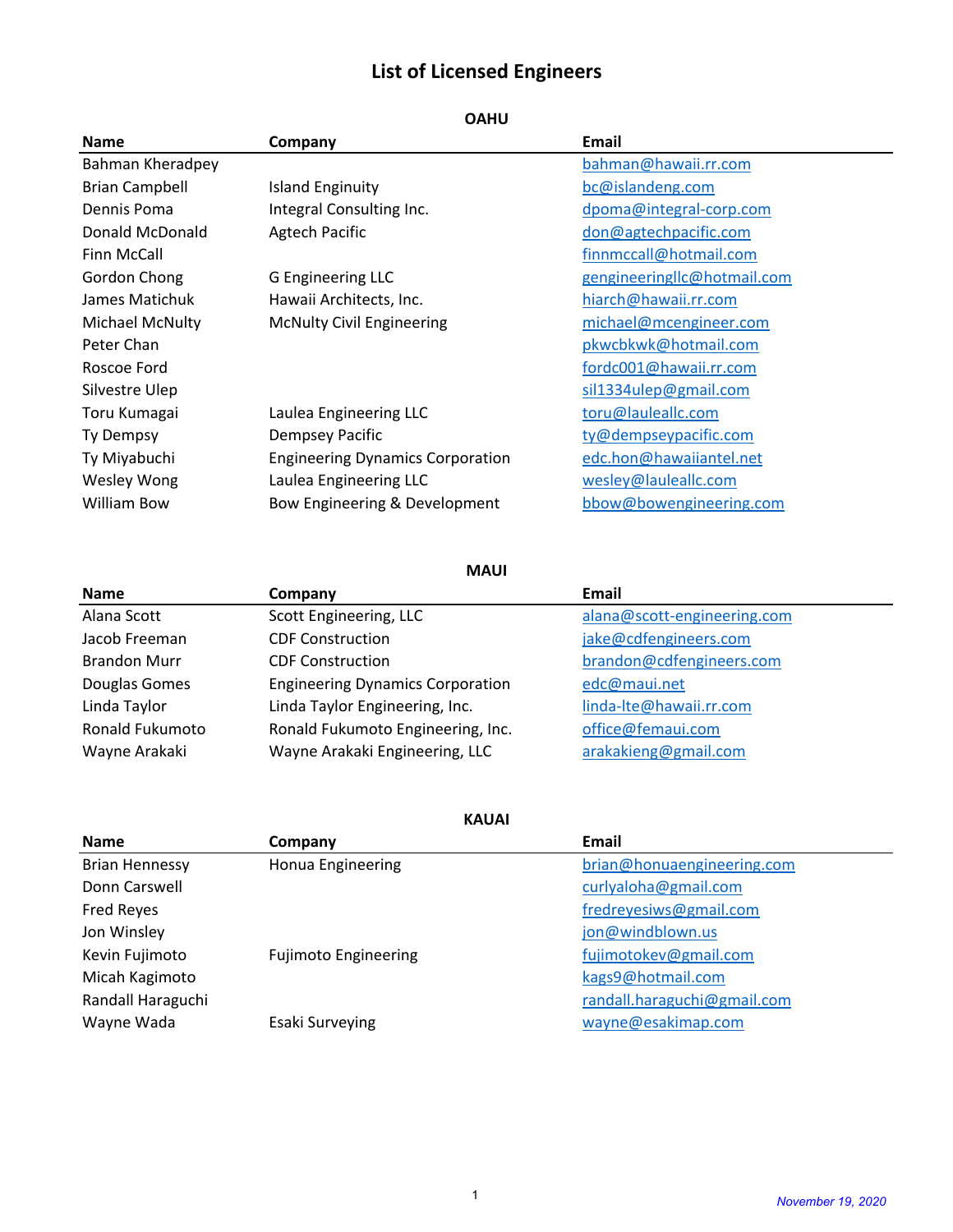## **List of Licensed Engineers**

| <b>Name</b>           | Company                                 | <b>Email</b>                |
|-----------------------|-----------------------------------------|-----------------------------|
| Bahman Kheradpey      |                                         | bahman@hawaii.rr.com        |
| <b>Brian Campbell</b> | <b>Island Enginuity</b>                 | bc@islandeng.com            |
| Dennis Poma           | Integral Consulting Inc.                | dpoma@integral-corp.com     |
| Donald McDonald       | <b>Agtech Pacific</b>                   | don@agtechpacific.com       |
| <b>Finn McCall</b>    |                                         | finnmccall@hotmail.com      |
| Gordon Chong          | G Engineering LLC                       | gengineeringllc@hotmail.com |
| James Matichuk        | Hawaii Architects, Inc.                 | hiarch@hawaii.rr.com        |
| Michael McNulty       | <b>McNulty Civil Engineering</b>        | michael@mcengineer.com      |
| Peter Chan            |                                         | pkwcbkwk@hotmail.com        |
| Roscoe Ford           |                                         | fordc001@hawaii.rr.com      |
| Silvestre Ulep        |                                         | sil1334ulep@gmail.com       |
| Toru Kumagai          | Laulea Engineering LLC                  | toru@lauleallc.com          |
| Ty Dempsy             | Dempsey Pacific                         | ty@dempseypacific.com       |
| Ty Miyabuchi          | <b>Engineering Dynamics Corporation</b> | edc.hon@hawaiiantel.net     |
| Wesley Wong           | Laulea Engineering LLC                  | wesley@lauleallc.com        |
| William Bow           | Bow Engineering & Development           | bbow@bowengineering.com     |

**OAHU**

**MAUI**

| <b>Name</b>         | Company                                 | Email                       |
|---------------------|-----------------------------------------|-----------------------------|
| Alana Scott         | Scott Engineering, LLC                  | alana@scott-engineering.com |
| Jacob Freeman       | <b>CDF Construction</b>                 | jake@cdfengineers.com       |
| <b>Brandon Murr</b> | <b>CDF Construction</b>                 | brandon@cdfengineers.com    |
| Douglas Gomes       | <b>Engineering Dynamics Corporation</b> | edc@maui.net                |
| Linda Taylor        | Linda Taylor Engineering, Inc.          | linda-Ite@hawaii.rr.com     |
| Ronald Fukumoto     | Ronald Fukumoto Engineering, Inc.       | office@femaui.com           |
| Wayne Arakaki       | Wayne Arakaki Engineering, LLC          | arakakieng@gmail.com        |

| <b>KAUAI</b>          |                             |                             |  |  |
|-----------------------|-----------------------------|-----------------------------|--|--|
| <b>Name</b>           | Company                     | Email                       |  |  |
| <b>Brian Hennessy</b> | Honua Engineering           | brian@honuaengineering.com  |  |  |
| Donn Carswell         |                             | curlyaloha@gmail.com        |  |  |
| <b>Fred Reyes</b>     |                             | fredreyesiws@gmail.com      |  |  |
| Jon Winsley           |                             | jon@windblown.us            |  |  |
| Kevin Fujimoto        | <b>Fujimoto Engineering</b> | fujimotokev@gmail.com       |  |  |
| Micah Kagimoto        |                             | kags9@hotmail.com           |  |  |
| Randall Haraguchi     |                             | randall.haraguchi@gmail.com |  |  |
| Wayne Wada            | Esaki Surveying             | wayne@esakimap.com          |  |  |